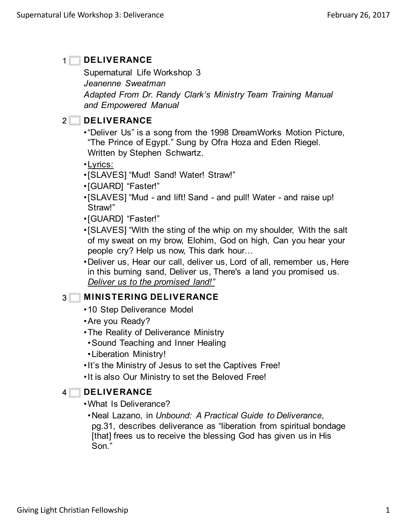### **DELIVERANCE**  $1<sup>1</sup>$

Supernatural Life Workshop 3 *Jeanenne Sweatman*

*Adapted From Dr. Randy Clark's Ministry Team Training Manual and Empowered Manual*

# **ZUE DELIVERANCE**

- •"Deliver Us" is a song from the 1998 DreamWorks Motion Picture, "The Prince of Egypt." Sung by Ofra Hoza and Eden Riegel. Written by Stephen Schwartz.
- •Lyrics:
- •[SLAVES] "Mud! Sand! Water! Straw!"
- •[GUARD] "Faster!"
- •[SLAVES] "Mud and lift! Sand and pull! Water and raise up! Straw!"
- •[GUARD] "Faster!"
- •[SLAVES] "With the sting of the whip on my shoulder, With the salt of my sweat on my brow, Elohim, God on high, Can you hear your people cry? Help us now, This dark hour…
- •Deliver us, Hear our call, deliver us, Lord of all, remember us, Here in this burning sand, Deliver us, There's a land you promised us. *Deliver us to the promised land!"*

# **MINISTERING DELIVERANCE** 3

- •10 Step Deliverance Model
- •Are you Ready?
- •The Reality of Deliverance Ministry
- •Sound Teaching and Inner Healing
- •Liberation Ministry!
- •It's the Ministry of Jesus to set the Captives Free!
- •It is also Our Ministry to set the Beloved Free!

### **DELIVERANCE**  $4\Box$

- •What Is Deliverance?
	- •Neal Lazano, in *Unbound: A Practical Guide to Deliverance*, pg.31, describes deliverance as "liberation from spiritual bondage [that] frees us to receive the blessing God has given us in His Son."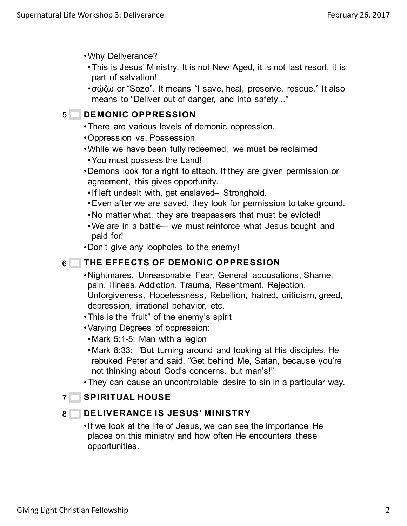- •Why Deliverance?
- •This is Jesus' Ministry. It is not New Aged, it is not last resort, it is part of salvation!
- •σῴζω or "Sozo". It means "I save, heal, preserve, rescue." It also means to "Deliver out of danger, and into safety..."

# **5** DEMONIC OPPRESSION

- •There are various levels of demonic oppression.
- •Oppression vs. Possession
- •While we have been fully redeemed, we must be reclaimed
- •You must possess the Land!
- •Demons look for a right to attach. If they are given permission or agreement, this gives opportunity.
- •If left undealt with, get enslaved– Stronghold.
- •Even after we are saved, they look for permission to take ground.
- •No matter what, they are trespassers that must be evicted!
- We are in a battle— we must reinforce what Jesus bought and paid for!
- •Don't give any loopholes to the enemy!

### **THE EFFECTS OF DEMONIC OPPRESSION**  $6\Box$

- •Nightmares, Unreasonable Fear, General accusations, Shame, pain, Illness, Addiction, Trauma, Resentment, Rejection, Unforgiveness, Hopelessness, Rebellion, hatred, criticism, greed, depression, irrational behavior, etc.
- •This is the "fruit" of the enemy's spirit
- •Varying Degrees of oppression:
- •Mark 5:1-5: Man with a legion
- •Mark 8:33: "But turning around and looking at His disciples, He rebuked Peter and said, "Get behind Me, Satan, because you're not thinking about God's concerns, but man's!"
- •They can cause an uncontrollable desire to sin in a particular way.

# **T** SPIRITUAL HOUSE

### **DELIVERANCE IS JESUS' MINISTRY**  $8\Box$

•If we look at the life of Jesus, we can see the importance He places on this ministry and how often He encounters these opportunities.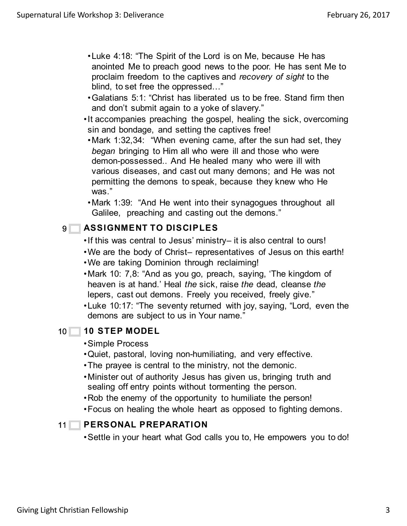- •Luke 4:18: "The Spirit of the Lord is on Me, because He has anointed Me to preach good news to the poor. He has sent Me to proclaim freedom to the captives and *recovery of sight* to the blind, to set free the oppressed…"
- •Galatians 5:1: "Christ has liberated us to be free. Stand firm then and don't submit again to a yoke of slavery."
- •It accompanies preaching the gospel, healing the sick, overcoming sin and bondage, and setting the captives free!
- •Mark 1:32,34: "When evening came, after the sun had set, they *began* bringing to Him all who were ill and those who were demon-possessed.. And He healed many who were ill with various diseases, and cast out many demons; and He was not permitting the demons to speak, because they knew who He was."
- •Mark 1:39: "And He went into their synagogues throughout all Galilee, preaching and casting out the demons."

### **ASSIGNMENT TO DISCIPLES 9**

- •If this was central to Jesus' ministry– it is also central to ours!
- •We are the body of Christ– representatives of Jesus on this earth!
- •We are taking Dominion through reclaiming!
- •Mark 10: 7,8: "And as you go, preach, saying, 'The kingdom of heaven is at hand.' Heal *the* sick, raise *the* dead, cleanse *the* lepers, cast out demons. Freely you received, freely give."
- •Luke 10:17: "The seventy returned with joy, saying, "Lord, even the demons are subject to us in Your name."

### **10 STEP MODEL**  $10$

### •Simple Process

- •Quiet, pastoral, loving non-humiliating, and very effective.
- •The prayee is central to the ministry, not the demonic.
- •Minister out of authority Jesus has given us, bringing truth and sealing off entry points without tormenting the person.
- •Rob the enemy of the opportunity to humiliate the person!
- •Focus on healing the whole heart as opposed to fighting demons.

### **PERSONAL PREPARATION**  $11$

•Settle in your heart what God calls you to, He empowers you to do!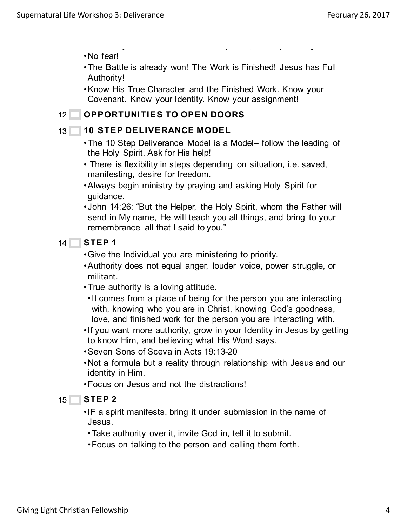•No fear!

•The Battle is already won! The Work is Finished! Jesus has Full Authority!

 $\mathcal{S}^{\mathcal{S}}(\mathcal{S})=\mathcal{S}^{\mathcal{S}}(\mathcal{S})=\mathcal{S}^{\mathcal{S}}(\mathcal{S})=\mathcal{S}^{\mathcal{S}}(\mathcal{S})=\mathcal{S}^{\mathcal{S}}(\mathcal{S})=\mathcal{S}^{\mathcal{S}}(\mathcal{S})=\mathcal{S}^{\mathcal{S}}(\mathcal{S})=\mathcal{S}^{\mathcal{S}}(\mathcal{S})=\mathcal{S}^{\mathcal{S}}(\mathcal{S})=\mathcal{S}^{\mathcal{S}}(\mathcal{S})=\mathcal{S}^{\mathcal{S}}(\mathcal{S})=\mathcal{S}^{\mathcal{$ 

•Know His True Character and the Finished Work. Know your Covenant. Know your Identity. Know your assignment!

### **OPPORTUNITIES TO OPEN DOORS**  $12$

## 13 10 STEP DELIVERANCE MODEL

- •The 10 Step Deliverance Model is a Model– follow the leading of the Holy Spirit. Ask for His help!
- There is flexibility in steps depending on situation, i.e. saved, manifesting, desire for freedom.
- •Always begin ministry by praying and asking Holy Spirit for guidance.
- •John 14:26: "But the Helper, the Holy Spirit, whom the Father will send in My name, He will teach you all things, and bring to your remembrance all that I said to you."

### **STEP 1**  $14$

- •Give the Individual you are ministering to priority.
- •Authority does not equal anger, louder voice, power struggle, or militant.
- •True authority is a loving attitude.
- •It comes from a place of being for the person you are interacting with, knowing who you are in Christ, knowing God's goodness, love, and finished work for the person you are interacting with.
- •If you want more authority, grow in your Identity in Jesus by getting to know Him, and believing what His Word says.
- •Seven Sons of Sceva in Acts 19:13-20
- •Not a formula but a reality through relationship with Jesus and our identity in Him.
- •Focus on Jesus and not the distractions!

### **STEP 2**  $15$

•IF a spirit manifests, bring it under submission in the name of Jesus.

- •Take authority over it, invite God in, tell it to submit.
- •Focus on talking to the person and calling them forth.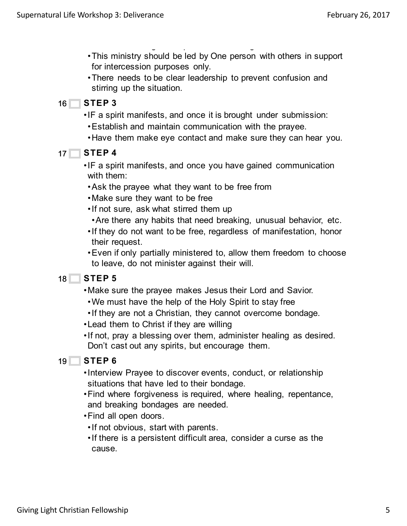- •This ministry should be led by One person with others in support for intercession purposes only.
- •There needs to be clear leadership to prevent confusion and stirring up the situation.
- **STEP 3**  $16$ 
	- •IF a spirit manifests, and once it is brought under submission:
		- •Establish and maintain communication with the prayee.

•Focus on talking to the person and calling them forth.

- •Have them make eye contact and make sure they can hear you.
- **STEP 4**  $17 \Box$ 
	- •IF a spirit manifests, and once you have gained communication with them:
	- •Ask the prayee what they want to be free from
	- •Make sure they want to be free
	- •If not sure, ask what stirred them up
	- •Are there any habits that need breaking, unusual behavior, etc.
	- •If they do not want to be free, regardless of manifestation, honor their request.
	- •Even if only partially ministered to, allow them freedom to choose to leave, do not minister against their will.

### **STEP 5**  $18$

- •Make sure the prayee makes Jesus their Lord and Savior.
- •We must have the help of the Holy Spirit to stay free
- •If they are not a Christian, they cannot overcome bondage.
- •Lead them to Christ if they are willing
- •If not, pray a blessing over them, administer healing as desired. Don't cast out any spirits, but encourage them.

### **STEP 6**  $19$

- •Interview Prayee to discover events, conduct, or relationship situations that have led to their bondage.
- •Find where forgiveness is required, where healing, repentance, and breaking bondages are needed.
- •Find all open doors.
- •If not obvious, start with parents.
- •If there is a persistent difficult area, consider a curse as the cause.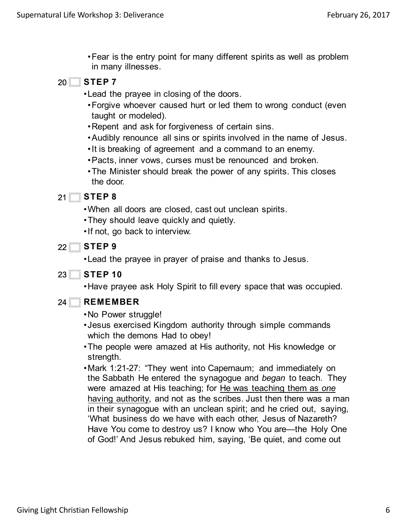- •Fear is the entry point for many different spirits as well as problem in many illnesses.
- **STEP 7** 20
	- •Lead the prayee in closing of the doors.
	- •Forgive whoever caused hurt or led them to wrong conduct (even taught or modeled).
	- •Repent and ask for forgiveness of certain sins.
	- •Audibly renounce all sins or spirits involved in the name of Jesus.
	- •It is breaking of agreement and a command to an enemy.
	- •Pacts, inner vows, curses must be renounced and broken.
	- •The Minister should break the power of any spirits. This closes the door.

### **STEP 8** 21

- •When all doors are closed, cast out unclean spirits.
- •They should leave quickly and quietly.
- •If not, go back to interview.
- **STEP 9**  $22$

•Lead the prayee in prayer of praise and thanks to Jesus.

**STEP 10** 23

•Have prayee ask Holy Spirit to fill every space that was occupied.

- **REMEMBER**  $24$ 
	- •No Power struggle!
	- •Jesus exercised Kingdom authority through simple commands which the demons Had to obey!
	- •The people were amazed at His authority, not His knowledge or strength.
	- •Mark 1:21-27: "They went into Capernaum; and immediately on the Sabbath He entered the synagogue and *began* to teach. They were amazed at His teaching; for He was teaching them as *one* having authority, and not as the scribes. Just then there was a man in their synagogue with an unclean spirit; and he cried out, saying, 'What business do we have with each other, Jesus of Nazareth? Have You come to destroy us? I know who You are—the Holy One of God!' And Jesus rebuked him, saying, 'Be quiet, and come out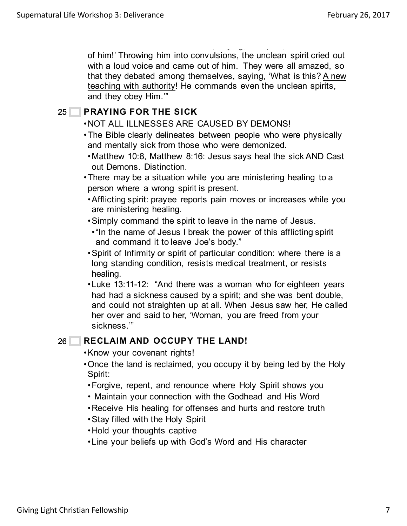of God!' And Jesus rebuked him, saying, 'Be quiet, and come out of him!' Throwing him into convulsions, the unclean spirit cried out with a loud voice and came out of him. They were all amazed, so that they debated among themselves, saying, 'What is this? A new teaching with authority! He commands even the unclean spirits, and they obey Him.'"

## **PRAYING FOR THE SICK** 25

## •NOT ALL ILLNESSES ARE CAUSED BY DEMONS!

- •The Bible clearly delineates between people who were physically and mentally sick from those who were demonized.
- •Matthew 10:8, Matthew 8:16: Jesus says heal the sick AND Cast out Demons. Distinction.
- •There may be a situation while you are ministering healing to a person where a wrong spirit is present.
- •Afflicting spirit: prayee reports pain moves or increases while you are ministering healing.
- •Simply command the spirit to leave in the name of Jesus.
- •"In the name of Jesus I break the power of this afflicting spirit and command it to leave Joe's body."
- •Spirit of Infirmity or spirit of particular condition: where there is a long standing condition, resists medical treatment, or resists healing.
- •Luke 13:11-12: "And there was a woman who for eighteen years had had a sickness caused by a spirit; and she was bent double, and could not straighten up at all. When Jesus saw her, He called her over and said to her, 'Woman, you are freed from your sickness.'"

### **RECLAIM AND OCCUPY THE LAND!** 26

- •Know your covenant rights!
- •Once the land is reclaimed, you occupy it by being led by the Holy Spirit:
- •Forgive, repent, and renounce where Holy Spirit shows you
- Maintain your connection with the Godhead and His Word
- •Receive His healing for offenses and hurts and restore truth
- •Stay filled with the Holy Spirit
- •Hold your thoughts captive
- •Line your beliefs up with God's Word and His character